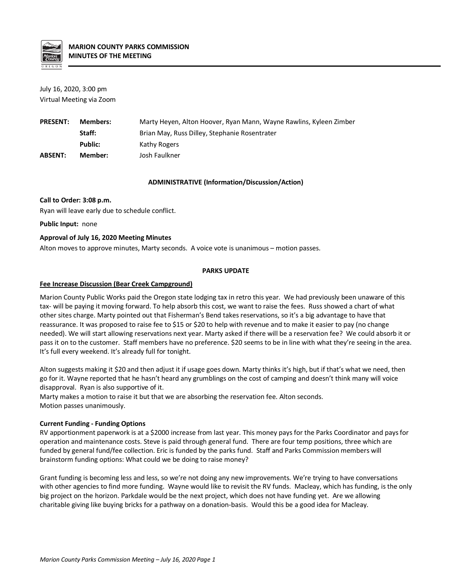

July 16, 2020, 3:00 pm Virtual Meeting via Zoom

| <b>PRESENT:</b> | Members: | Marty Heyen, Alton Hoover, Ryan Mann, Wayne Rawlins, Kyleen Zimber |
|-----------------|----------|--------------------------------------------------------------------|
|                 | Staff:   | Brian May, Russ Dilley, Stephanie Rosentrater                      |
|                 | Public:  | Kathy Rogers                                                       |
| <b>ABSENT:</b>  | Member:  | Josh Faulkner                                                      |

#### **ADMINISTRATIVE (Information/Discussion/Action)**

### **Call to Order: 3:08 p.m.**

Ryan will leave early due to schedule conflict.

**Public Input:** none

# **Approval of July 16, 2020 Meeting Minutes**

Alton moves to approve minutes, Marty seconds. A voice vote is unanimous – motion passes.

### **PARKS UPDATE**

### **Fee Increase Discussion (Bear Creek Campground)**

Marion County Public Works paid the Oregon state lodging tax in retro this year. We had previously been unaware of this tax- will be paying it moving forward. To help absorb this cost, we want to raise the fees. Russ showed a chart of what other sites charge. Marty pointed out that Fisherman's Bend takes reservations, so it's a big advantage to have that reassurance. It was proposed to raise fee to \$15 or \$20 to help with revenue and to make it easier to pay (no change needed). We will start allowing reservations next year. Marty asked if there will be a reservation fee? We could absorb it or pass it on to the customer. Staff members have no preference. \$20 seems to be in line with what they're seeing in the area. It's full every weekend. It's already full for tonight.

Alton suggests making it \$20 and then adjust it if usage goes down. Marty thinks it's high, but if that's what we need, then go for it. Wayne reported that he hasn't heard any grumblings on the cost of camping and doesn't think many will voice disapproval. Ryan is also supportive of it.

Marty makes a motion to raise it but that we are absorbing the reservation fee. Alton seconds. Motion passes unanimously.

# **Current Funding - Funding Options**

RV apportionment paperwork is at a \$2000 increase from last year. This money pays for the Parks Coordinator and pays for operation and maintenance costs. Steve is paid through general fund. There are four temp positions, three which are funded by general fund/fee collection. Eric is funded by the parks fund. Staff and Parks Commission members will brainstorm funding options: What could we be doing to raise money?

Grant funding is becoming less and less, so we're not doing any new improvements. We're trying to have conversations with other agencies to find more funding. Wayne would like to revisit the RV funds. Macleay, which has funding, is the only big project on the horizon. Parkdale would be the next project, which does not have funding yet. Are we allowing charitable giving like buying bricks for a pathway on a donation-basis. Would this be a good idea for Macleay.